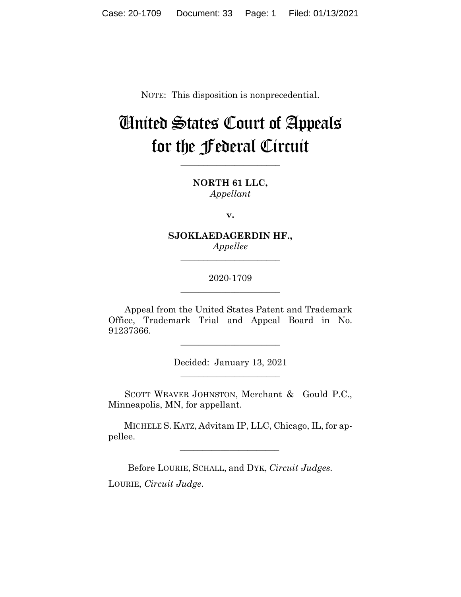NOTE: This disposition is nonprecedential.

# United States Court of Appeals for the Federal Circuit

**\_\_\_\_\_\_\_\_\_\_\_\_\_\_\_\_\_\_\_\_\_\_**

**NORTH 61 LLC,** *Appellant*

**v.**

**SJOKLAEDAGERDIN HF.,** *Appellee*

**\_\_\_\_\_\_\_\_\_\_\_\_\_\_\_\_\_\_\_\_\_\_**

# 2020-1709 **\_\_\_\_\_\_\_\_\_\_\_\_\_\_\_\_\_\_\_\_\_\_**

Appeal from the United States Patent and Trademark Office, Trademark Trial and Appeal Board in No. 91237366.

\_\_\_\_\_\_\_\_\_\_\_\_\_\_\_\_\_\_\_\_\_\_

Decided: January 13, 2021 \_\_\_\_\_\_\_\_\_\_\_\_\_\_\_\_\_\_\_\_\_\_

SCOTT WEAVER JOHNSTON, Merchant & Gould P.C., Minneapolis, MN, for appellant.

 MICHELE S. KATZ, Advitam IP, LLC, Chicago, IL, for appellee.

Before LOURIE, SCHALL, and DYK, *Circuit Judges.* LOURIE, *Circuit Judge*.

 $\mathcal{L}_\text{max}$  and  $\mathcal{L}_\text{max}$  and  $\mathcal{L}_\text{max}$  and  $\mathcal{L}_\text{max}$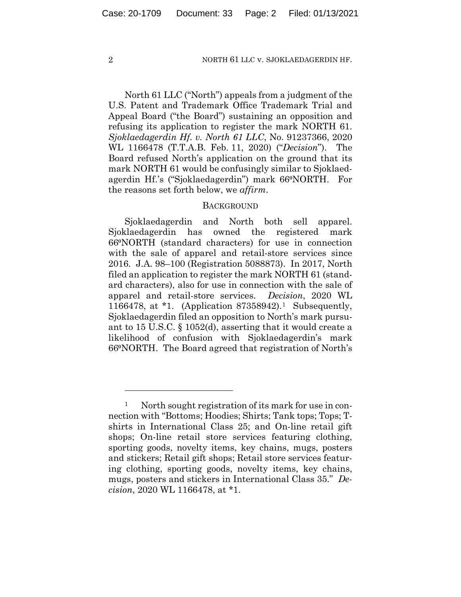North 61 LLC ("North") appeals from a judgment of the U.S. Patent and Trademark Office Trademark Trial and Appeal Board ("the Board") sustaining an opposition and refusing its application to register the mark NORTH 61. *Sjoklaedagerdin Hf. v. North 61 LLC*, No. 91237366, 2020 WL 1166478 (T.T.A.B. Feb. 11, 2020) ("*Decision*"). The Board refused North's application on the ground that its mark NORTH 61 would be confusingly similar to Sjoklaedagerdin Hf.'s ("Sjoklaedagerdin") mark 66°NORTH. For the reasons set forth below, we *affirm*.

## **BACKGROUND**

Sjoklaedagerdin and North both sell apparel. Sjoklaedagerdin has owned the registered mark 66⁰NORTH (standard characters) for use in connection with the sale of apparel and retail-store services since 2016. J.A. 98–100 (Registration 5088873). In 2017, North filed an application to register the mark NORTH 61 (standard characters), also for use in connection with the sale of apparel and retail-store services. *Decision*, 2020 WL 1166478, at \*1. (Application 87358942).[1](#page-1-0) Subsequently, Sjoklaedagerdin filed an opposition to North's mark pursuant to 15 U.S.C. § 1052(d), asserting that it would create a likelihood of confusion with Sjoklaedagerdin's mark 66⁰NORTH. The Board agreed that registration of North's

<span id="page-1-0"></span><sup>&</sup>lt;sup>1</sup> North sought registration of its mark for use in connection with "Bottoms; Hoodies; Shirts; Tank tops; Tops; Tshirts in International Class 25; and On-line retail gift shops; On-line retail store services featuring clothing, sporting goods, novelty items, key chains, mugs, posters and stickers; Retail gift shops; Retail store services featuring clothing, sporting goods, novelty items, key chains, mugs, posters and stickers in International Class 35." *Decision*, 2020 WL 1166478, at \*1.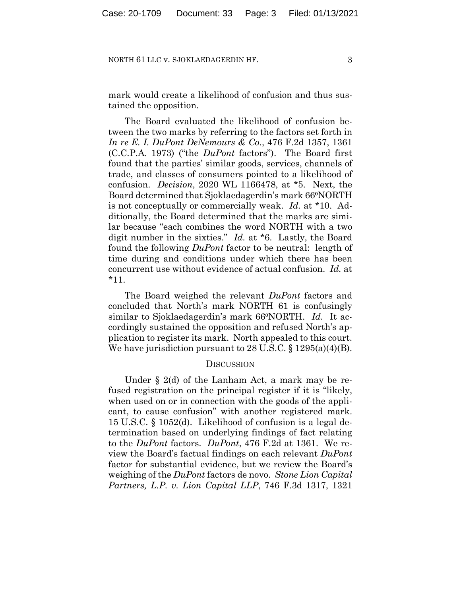mark would create a likelihood of confusion and thus sustained the opposition.

The Board evaluated the likelihood of confusion between the two marks by referring to the factors set forth in *In re E. I. DuPont DeNemours & Co.*, 476 F.2d 1357, 1361 (C.C.P.A. 1973) ("the *DuPont* factors"). The Board first found that the parties' similar goods, services, channels of trade, and classes of consumers pointed to a likelihood of confusion. *Decision*, 2020 WL 1166478, at \*5. Next, the Board determined that Sjoklaedagerdin's mark 66⁰NORTH is not conceptually or commercially weak. *Id.* at \*10. Additionally, the Board determined that the marks are similar because "each combines the word NORTH with a two digit number in the sixties." *Id.* at \*6. Lastly, the Board found the following *DuPont* factor to be neutral: length of time during and conditions under which there has been concurrent use without evidence of actual confusion. *Id.* at \*11.

The Board weighed the relevant *DuPont* factors and concluded that North's mark NORTH 61 is confusingly similar to Sjoklaedagerdin's mark 66<sup>o</sup>NORTH. *Id.* It accordingly sustained the opposition and refused North's application to register its mark. North appealed to this court. We have jurisdiction pursuant to 28 U.S.C. § 1295(a)(4)(B).

## **DISCUSSION**

Under § 2(d) of the Lanham Act, a mark may be refused registration on the principal register if it is "likely, when used on or in connection with the goods of the applicant, to cause confusion" with another registered mark. 15 U.S.C. § 1052(d). Likelihood of confusion is a legal determination based on underlying findings of fact relating to the *DuPont* factors. *DuPont*, 476 F.2d at 1361. We review the Board's factual findings on each relevant *DuPont* factor for substantial evidence, but we review the Board's weighing of the *DuPont* factors de novo. *Stone Lion Capital Partners, L.P. v. Lion Capital LLP*, 746 F.3d 1317, 1321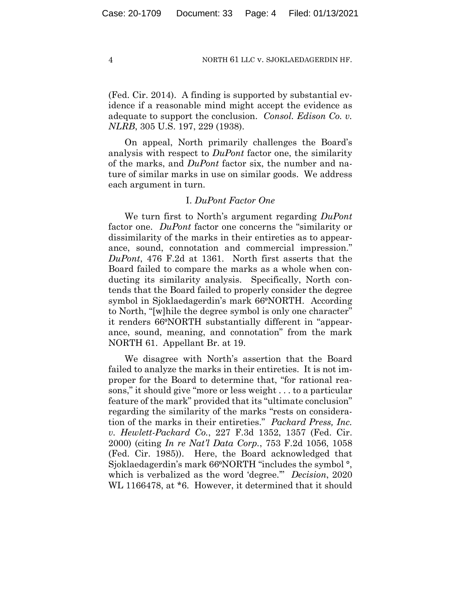(Fed. Cir. 2014). A finding is supported by substantial evidence if a reasonable mind might accept the evidence as adequate to support the conclusion. *Consol. Edison Co. v. NLRB*, 305 U.S. 197, 229 (1938).

On appeal, North primarily challenges the Board's analysis with respect to *DuPont* factor one, the similarity of the marks, and *DuPont* factor six, the number and nature of similar marks in use on similar goods. We address each argument in turn.

## I. *DuPont Factor One*

We turn first to North's argument regarding *DuPont* factor one. *DuPont* factor one concerns the "similarity or dissimilarity of the marks in their entireties as to appearance, sound, connotation and commercial impression." *DuPont*, 476 F.2d at 1361. North first asserts that the Board failed to compare the marks as a whole when conducting its similarity analysis. Specifically, North contends that the Board failed to properly consider the degree symbol in Sjoklaedagerdin's mark 66°NORTH. According to North, "[w]hile the degree symbol is only one character" it renders 66⁰NORTH substantially different in "appearance, sound, meaning, and connotation" from the mark NORTH 61. Appellant Br. at 19.

We disagree with North's assertion that the Board failed to analyze the marks in their entireties. It is not improper for the Board to determine that, "for rational reasons," it should give "more or less weight . . . to a particular feature of the mark" provided that its "ultimate conclusion" regarding the similarity of the marks "rests on consideration of the marks in their entireties." *Packard Press, Inc. v. Hewlett-Packard Co.*, 227 F.3d 1352, 1357 (Fed. Cir. 2000) (citing *In re Nat'l Data Corp.*, 753 F.2d 1056, 1058 (Fed. Cir. 1985)). Here, the Board acknowledged that Sjoklaedagerdin's mark 66<sup>o</sup>NORTH "includes the symbol<sup>o</sup>, which is verbalized as the word 'degree.'" *Decision*, 2020 WL 1166478, at  $*6$ . However, it determined that it should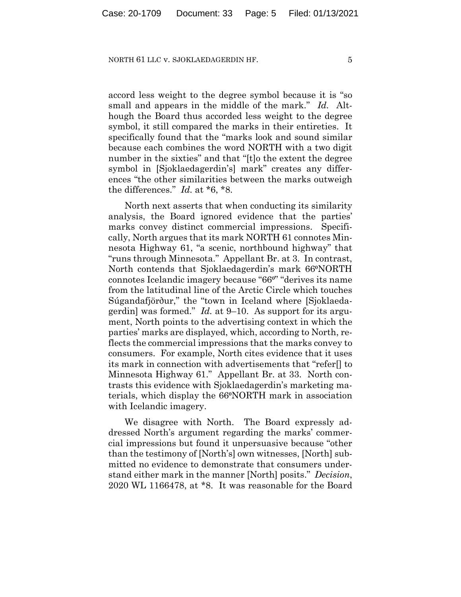accord less weight to the degree symbol because it is "so small and appears in the middle of the mark." *Id.* Although the Board thus accorded less weight to the degree symbol, it still compared the marks in their entireties. It specifically found that the "marks look and sound similar because each combines the word NORTH with a two digit number in the sixties" and that "[t]o the extent the degree symbol in [Sjoklaedagerdin's] mark" creates any differences "the other similarities between the marks outweigh the differences." *Id.* at \*6, \*8.

North next asserts that when conducting its similarity analysis, the Board ignored evidence that the parties' marks convey distinct commercial impressions. Specifically, North argues that its mark NORTH 61 connotes Minnesota Highway 61, "a scenic, northbound highway" that "runs through Minnesota." Appellant Br. at 3. In contrast, North contends that Sjoklaedagerdin's mark 66⁰NORTH connotes Icelandic imagery because "66<sup>°</sup>" derives its name from the latitudinal line of the Arctic Circle which touches Súgandafjörður," the "town in Iceland where [Sjoklaedagerdin] was formed." *Id.* at 9–10. As support for its argument, North points to the advertising context in which the parties' marks are displayed, which, according to North, reflects the commercial impressions that the marks convey to consumers. For example, North cites evidence that it uses its mark in connection with advertisements that "refer[] to Minnesota Highway 61." Appellant Br. at 33. North contrasts this evidence with Sjoklaedagerdin's marketing materials, which display the 66⁰NORTH mark in association with Icelandic imagery.

We disagree with North. The Board expressly addressed North's argument regarding the marks' commercial impressions but found it unpersuasive because "other than the testimony of [North's] own witnesses, [North] submitted no evidence to demonstrate that consumers understand either mark in the manner [North] posits." *Decision*, 2020 WL 1166478, at \*8. It was reasonable for the Board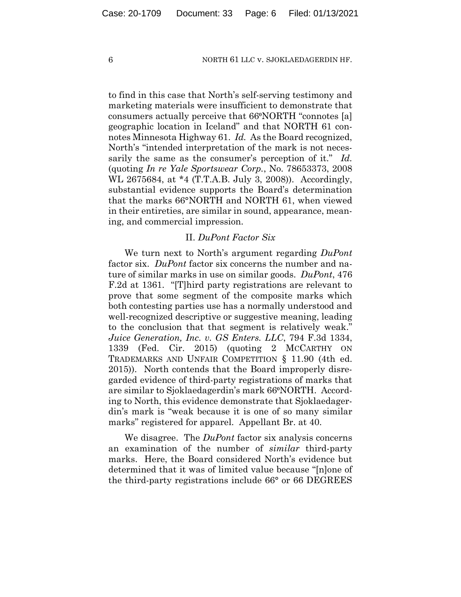to find in this case that North's self-serving testimony and marketing materials were insufficient to demonstrate that consumers actually perceive that 66<sup>o</sup>NORTH "connotes [a] geographic location in Iceland" and that NORTH 61 connotes Minnesota Highway 61. *Id.* As the Board recognized, North's "intended interpretation of the mark is not necessarily the same as the consumer's perception of it." *Id.* (quoting *In re Yale Sportswear Corp.*, No. 78653373, 2008 WL 2675684, at \*4 (T.T.A.B. July 3, 2008)). Accordingly, substantial evidence supports the Board's determination that the marks 66°NORTH and NORTH 61, when viewed in their entireties, are similar in sound, appearance, meaning, and commercial impression.

# II. *DuPont Factor Six*

We turn next to North's argument regarding *DuPont* factor six. *DuPont* factor six concerns the number and nature of similar marks in use on similar goods. *DuPont*, 476 F.2d at 1361. "[T]hird party registrations are relevant to prove that some segment of the composite marks which both contesting parties use has a normally understood and well-recognized descriptive or suggestive meaning, leading to the conclusion that that segment is relatively weak." *Juice Generation, Inc. v. GS Enters. LLC*, 794 F.3d 1334, 1339 (Fed. Cir. 2015) (quoting 2 MCCARTHY ON TRADEMARKS AND UNFAIR COMPETITION § 11.90 (4th ed. 2015)). North contends that the Board improperly disregarded evidence of third-party registrations of marks that are similar to Sjoklaedagerdin's mark 66<sup>°</sup>NORTH. According to North, this evidence demonstrate that Sjoklaedagerdin's mark is "weak because it is one of so many similar marks" registered for apparel. Appellant Br. at 40.

We disagree. The *DuPont* factor six analysis concerns an examination of the number of *similar* third-party marks. Here, the Board considered North's evidence but determined that it was of limited value because "[n]one of the third-party registrations include 66° or 66 DEGREES